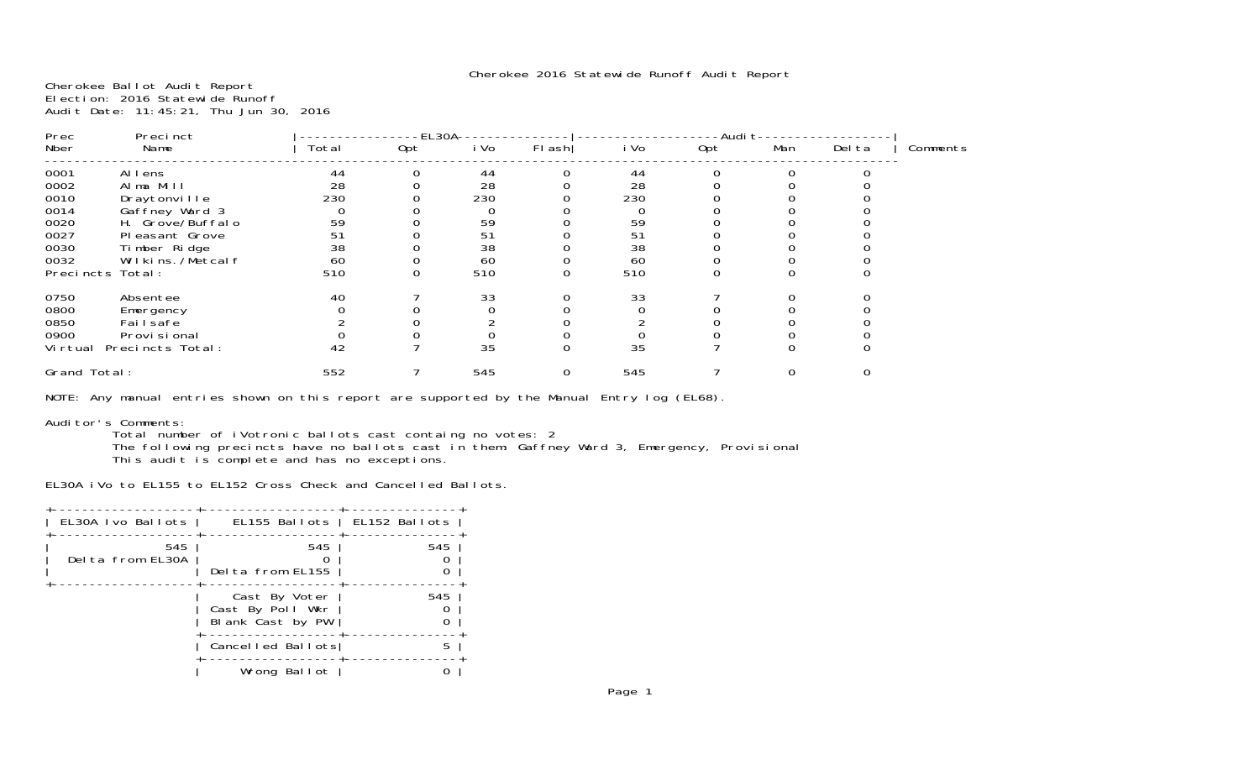Cherokee Ballot Audit Report Election: 2016 Statewide Runoff Audit Date: 11:45:21, Thu Jun 30, 2016

| Prec         | Precinct         |       | EL30A |      |        |      | -Audi t |     |        |          |  |
|--------------|------------------|-------|-------|------|--------|------|---------|-----|--------|----------|--|
| Nber         | Name             | Total | Opt   | i Vo | FI ash | i Vo | 0pt     | Man | Del ta | Comments |  |
| 0001         | Allens           | 44    |       | 44   |        | 44   |         |     |        |          |  |
| 0002         | Alma Mill        | 28    |       | 28   |        | 28   |         |     |        |          |  |
| 0010         | Draytonville     | 230   |       | 230  |        | 230  |         |     |        |          |  |
| 0014         | Gaffney Ward 3   |       |       |      |        |      |         |     |        |          |  |
| 0020         | H. Grove/Buffalo | 59    |       | 59   |        | 59   |         |     |        |          |  |
| 0027         | Pleasant Grove   | 51    |       | 51   |        | 51   |         |     |        |          |  |
| 0030         | Timber Ridge     | 38    |       | 38   |        | 38   |         |     |        |          |  |
| 0032         | Wilkins./Metcalf | 60    |       | 60   |        | 60   |         |     |        |          |  |
|              | Precincts Total: | 510   |       | 510  |        | 510  |         |     |        |          |  |
| 0750         | Absentee         | 40    |       | 33   |        | 33   |         |     |        |          |  |
| 0800         | Emergency        |       |       |      |        |      |         |     |        |          |  |
| 0850         | Fai I safe       |       |       |      |        |      |         |     |        |          |  |
| 0900         | Provi si onal    |       |       |      |        |      |         |     |        |          |  |
| Vi rtual     | Precincts Total: | 42    |       | 35   |        | 35   |         |     |        |          |  |
| Grand Total: |                  | 552   |       | 545  |        | 545  |         |     |        |          |  |
|              |                  |       |       |      |        |      |         |     |        |          |  |

NOTE: Any manual entries shown on this report are supported by the Manual Entry log (EL68).

## Auditor's Comments:

 Total number of iVotronic ballots cast containg no votes: 2 The following precincts have no ballots cast in them: Gaffney Ward 3, Emergency, Provisional This audit is complete and has no exceptions.

EL30A iVo to EL155 to EL152 Cross Check and Cancelled Ballots.

| EL30A Ivo Ballots        |                                                       | EL155 Ballots   EL152 Ballots |
|--------------------------|-------------------------------------------------------|-------------------------------|
| 545<br>Del ta from EL30A | 545<br>Delta from EL155                               | 545                           |
|                          | Cast By Voter<br>Cast By Poll Wkr<br>Blank Cast by PW | 545                           |
|                          | Cancelled Ballots                                     | 5                             |
|                          | Wrong Ballot                                          |                               |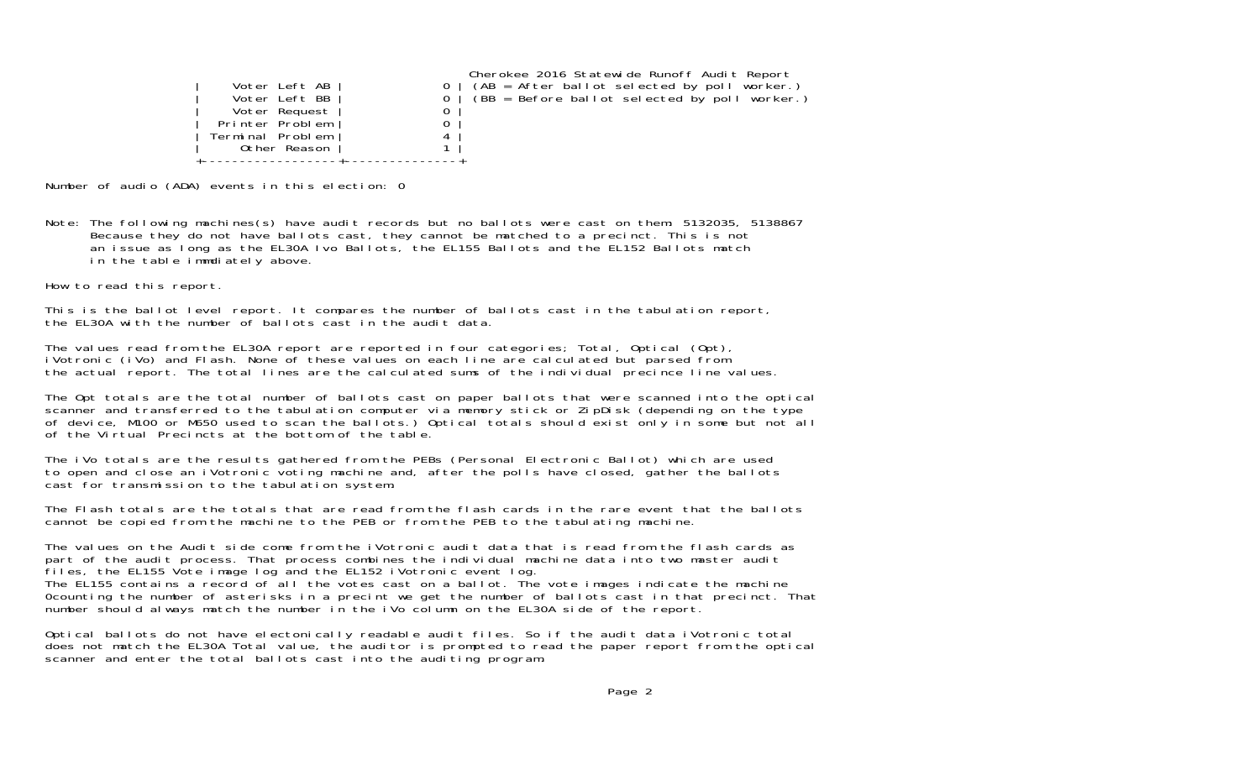| Voter Left AB<br>Voter Left BB<br>Voter Request<br>Printer Problem<br>Terminal Problem<br>Other Reason | Cherokee 2016 Statewide Runoff Audit Report<br>$(AB = After ballot selected by poll worker.)$<br>$(BB = Before ballot selected by poll worker.)$ |
|--------------------------------------------------------------------------------------------------------|--------------------------------------------------------------------------------------------------------------------------------------------------|
|                                                                                                        |                                                                                                                                                  |

Number of audio (ADA) events in this election: 0

Note: The following machines(s) have audit records but no ballots were cast on them: 5132035, 5138867 Because they do not have ballots cast, they cannot be matched to a precinct. This is not an issue as long as the EL30A Ivo Ballots, the EL155 Ballots and the EL152 Ballots match in the table immdiately above.

How to read this report.

This is the ballot level report. It compares the number of ballots cast in the tabulation report, the EL30A with the number of ballots cast in the audit data.

The values read from the EL30A report are reported in four categories; Total, Optical (Opt), iVotronic (iVo) and Flash. None of these values on each line are calculated but parsed from the actual report. The total lines are the calculated sums of the individual precince line values.

The Opt totals are the total number of ballots cast on paper ballots that were scanned into the optical scanner and transferred to the tabulation computer via memory stick or ZipDisk (depending on the type of device, M100 or M650 used to scan the ballots.) Optical totals should exist only in some but not all of the Virtual Precincts at the bottom of the table.

The iVo totals are the results gathered from the PEBs (Personal Electronic Ballot) which are used to open and close an iVotronic voting machine and, after the polls have closed, gather the ballots cast for transmission to the tabulation system.

The Flash totals are the totals that are read from the flash cards in the rare event that the ballots cannot be copied from the machine to the PEB or from the PEB to the tabulating machine.

The values on the Audit side come from the iVotronic audit data that is read from the flash cards as part of the audit process. That process combines the individual machine data into two master audit files, the EL155 Vote image log and the EL152 iVotronic event log. The EL155 contains a record of all the votes cast on a ballot. The vote images indicate the machine 0counting the number of asterisks in a precint we get the number of ballots cast in that precinct. That number should always match the number in the iVo column on the EL30A side of the report.

Optical ballots do not have electonically readable audit files. So if the audit data iVotronic total does not match the EL30A Total value, the auditor is prompted to read the paper report from the optical scanner and enter the total ballots cast into the auditing program.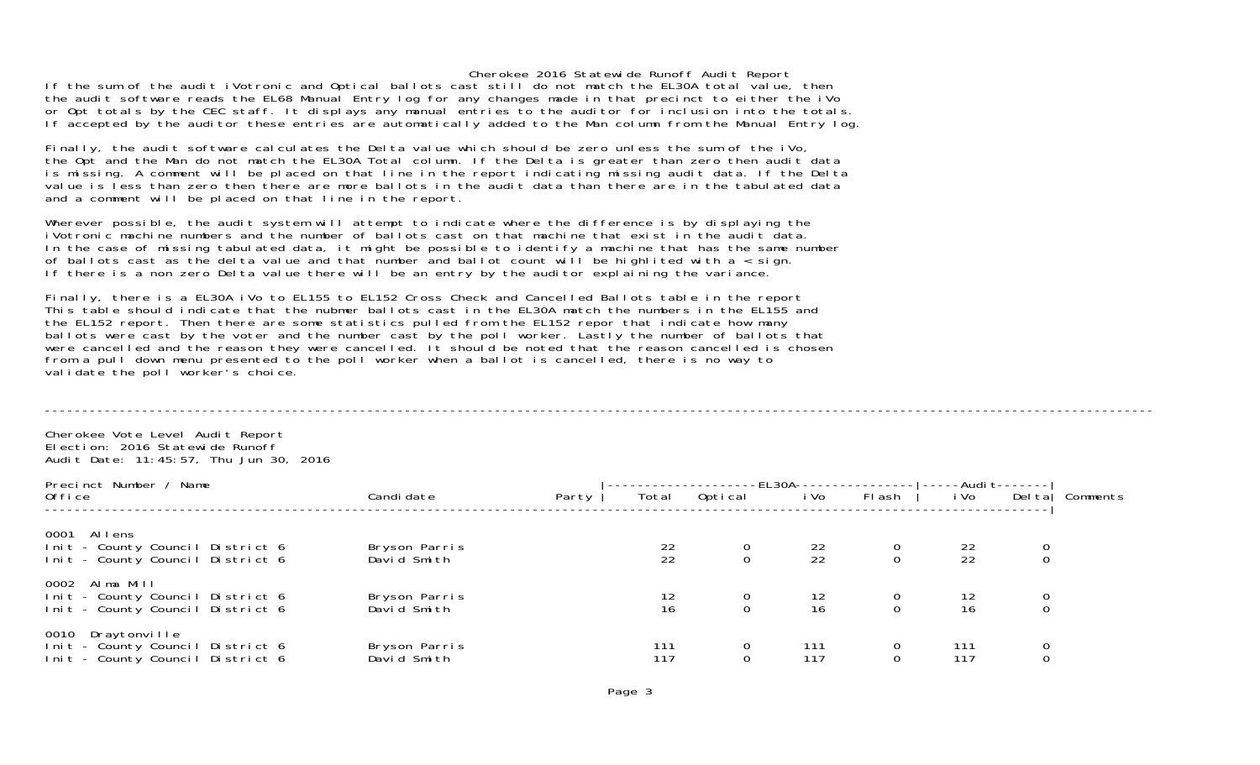If the sum of the audit iVotronic and Optical ballots cast still do not match the EL30A total value, then the audit software reads the EL68 Manual Entry log for any changes made in that precinct to either the iVo or Opt totals by the CEC staff. It displays any manual entries to the auditor for inclusion into the totals. If accepted by the auditor these entries are automatically added to the Man column from the Manual Entry log.

Finally, the audit software calculates the Delta value which should be zero unless the sum of the iVo, the Opt and the Man do not match the EL30A Total column. If the Delta is greater than zero then audit data is missing. A comment will be placed on that line in the report indicating missing audit data. If the Delta value is less than zero then there are more ballots in the audit data than there are in the tabulated data and a comment will be placed on that line in the report.

Wherever possible, the audit system will attempt to indicate where the difference is by displaying the iVotronic machine numbers and the number of ballots cast on that machine that exist in the audit data. In the case of missing tabulated data, it might be possible to identify a machine that has the same number of ballots cast as the delta value and that number and ballot count will be highlited with a < sign. If there is a non zero Delta value there will be an entry by the auditor explaining the variance.

Finally, there is a EL30A iVo to EL155 to EL152 Cross Check and Cancelled Ballots table in the report This table should indicate that the nubmer ballots cast in the EL30A match the numbers in the EL155 and the EL152 report. Then there are some statistics pulled from the EL152 repor that indicate how many ballots were cast by the voter and the number cast by the poll worker. Lastly the number of ballots that were cancelled and the reason they were cancelled. It should be noted that the reason cancelled is chosen from a pull down menu presented to the poll worker when a ballot is cancelled, there is no way to validate the poll worker's choice.

----------------------------------------------------------------------------------------------------------------------------------------------------

Cherokee Vote Level Audit Report Election: 2016 Statewide RunoffAudit Date: 11:45:57, Thu Jun 30, 2016

| Precinct Number / Name                                                                       |  |                              |       | --------EL30A--------- | -----Audi t------- |                                         |               |                                         |  |                 |
|----------------------------------------------------------------------------------------------|--|------------------------------|-------|------------------------|--------------------|-----------------------------------------|---------------|-----------------------------------------|--|-----------------|
| 0ffi ce                                                                                      |  | Candi date                   | Party | Total                  | Optical            | i Vo                                    | FI ash        | i Vo                                    |  | Delta  Comments |
| 0001 Allens<br>Init - County Council District 6<br>Init - County Council District 6          |  | Bryson Parris<br>David Smith |       | $\frac{22}{22}$        |                    | $\frac{22}{22}$                         |               | $\frac{22}{22}$                         |  |                 |
| 0002 Alma Mill<br>Init - County Council District 6<br>Init - County Council District 6       |  | Bryson Parris<br>David Smith |       | 12<br>16               |                    | $\begin{array}{c} 12 \\ 16 \end{array}$ |               | $\begin{array}{c} 12 \\ 16 \end{array}$ |  |                 |
| Draytonville<br>0010<br>Init - County Council District 6<br>Init - County Council District 6 |  | Bryson Parris<br>David Smith |       | 111<br>117             | $\mathbf{O}$       | 111<br>117                              | $\frac{0}{0}$ | 111<br>117                              |  |                 |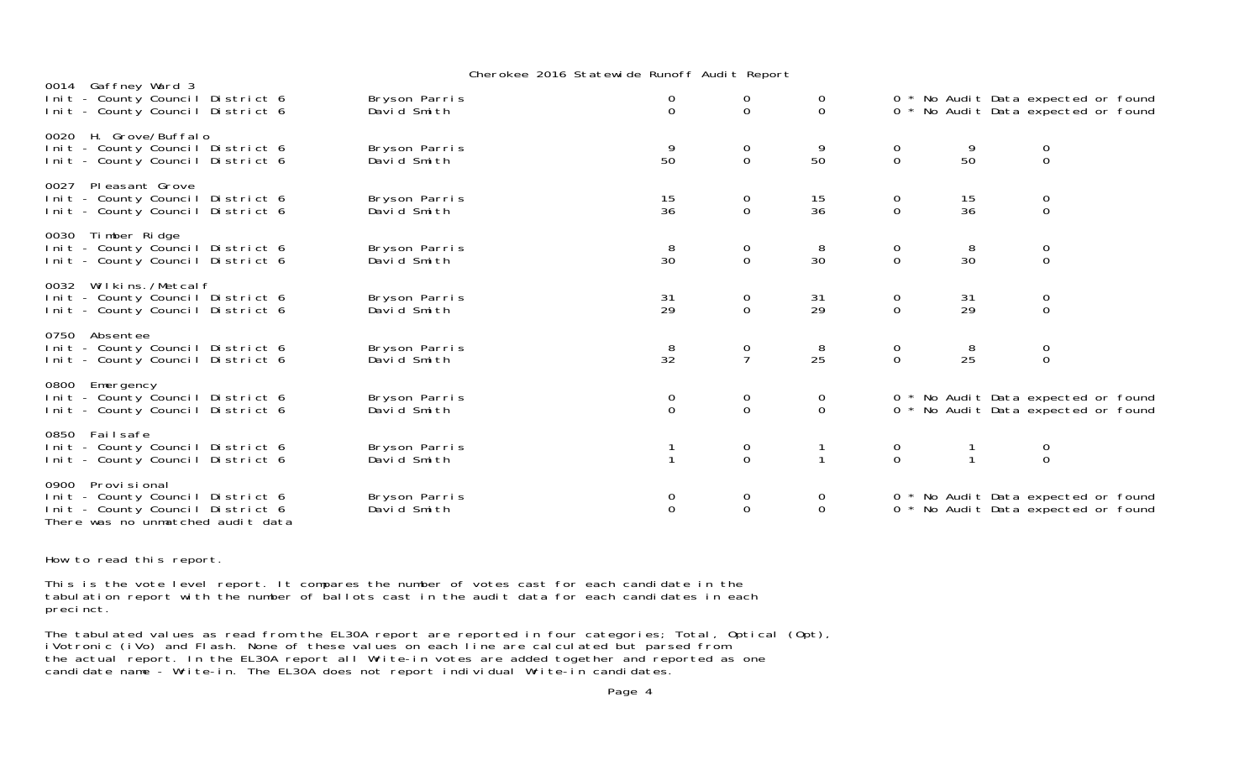|      | 0014 Gaffney Ward 3<br>Init - County Council District 6<br>Init - County Council District 6                                | Bryson Parris<br>David Smith | $\begin{matrix} 0 \\ 0 \end{matrix}$ | $\begin{matrix} 0 \\ 0 \end{matrix}$ | $\cup$<br>$\overline{0}$              |                                      |                 | 0 * No Audit Data expected or found<br>0 * No Audit Data expected or found |  |
|------|----------------------------------------------------------------------------------------------------------------------------|------------------------------|--------------------------------------|--------------------------------------|---------------------------------------|--------------------------------------|-----------------|----------------------------------------------------------------------------|--|
|      | 0020 H. Grove/Buffalo<br>Init - County Council District 6<br>Init - County Council District 6                              | Bryson Parris<br>David Smith | 50                                   | 0<br>$\overline{O}$                  | 9<br>50                               | $\overline{0}$<br>$\overline{0}$     | 9<br>50         | $\mathbf 0$<br>$\mathsf O$                                                 |  |
| 0027 | Pleasant Grove<br>Init - County Council District 6<br>Init - County Council District 6                                     | Bryson Parris<br>David Smith | $\frac{15}{36}$                      | $_{0}^{0}$                           | $\frac{15}{36}$                       | $\begin{matrix} 0 \\ 0 \end{matrix}$ | $\frac{15}{36}$ | $\begin{matrix} 0 \\ 0 \end{matrix}$                                       |  |
|      | 0030 Timber Ridge<br>Init - County Council District 6<br>Init - County Council District 6                                  | Bryson Parris<br>David Smith | $\frac{8}{30}$                       | $\begin{matrix} 0 \\ 0 \end{matrix}$ | $\frac{8}{30}$                        | $\begin{matrix} 0 \\ 0 \end{matrix}$ | $\frac{8}{30}$  | $\begin{matrix} 0 \\ 0 \end{matrix}$                                       |  |
|      | 0032 Wilkins. / Metcal f<br>Init - County Council District 6<br>Init - County Council District 6                           | Bryson Parris<br>David Smith | 31<br>29                             | 0<br>$\mathbf 0$                     | 31<br>29                              | $\begin{matrix} 0 \\ 0 \end{matrix}$ | 31<br>29        | $\mathbf 0$<br>$\mathbf 0$                                                 |  |
|      | 0750 Absentee<br>Init - County Council District 6<br>Init - County Council District 6                                      | Bryson Parris<br>David Smith | 8<br>32                              | 0<br>$\overline{7}$                  | 8<br>25                               | $\begin{matrix} 0 \\ 0 \end{matrix}$ | 8<br>25         | $\mathbf 0$<br>$\mathbf{O}$                                                |  |
|      | 0800 Emergency<br>Init - County Council District 6<br>Init - County Council District 6                                     | Bryson Parris<br>David Smith | $\begin{matrix} 0 \\ 0 \end{matrix}$ | $\begin{matrix} 0 \\ 0 \end{matrix}$ | $\begin{matrix} 0 \\ 0 \end{matrix}$  |                                      |                 | 0 * No Audit Data expected or found<br>0 * No Audit Data expected or found |  |
|      | 0850 Failsafe<br>Init - County Council District 6<br>Init - County Council District 6                                      | Bryson Parris<br>David Smith |                                      | $_{0}^{0}$                           | $\begin{array}{c} 1 \\ 1 \end{array}$ | $\begin{matrix} 0 \\ 0 \end{matrix}$ |                 | $\begin{matrix} 0 \\ 0 \end{matrix}$                                       |  |
| 0900 | Provi si onal<br>Init - County Council District 6<br>Init - County Council District 6<br>There was no unmatched audit data | Bryson Parris<br>David Smith | $\mathbf 0$<br>$\mathbf{0}$          | $_0^0$                               | $\mathbf 0$<br>$\mathbf 0$            |                                      |                 | 0 * No Audit Data expected or found<br>0 * No Audit Data expected or found |  |

How to read this report.

This is the vote level report. It compares the number of votes cast for each candidate in the tabulation report with the number of ballots cast in the audit data for each candidates in each precinct.

The tabulated values as read from the EL30A report are reported in four categories; Total, Optical (Opt), iVotronic (iVo) and Flash. None of these values on each line are calculated but parsed from the actual report. In the EL30A report all Write-in votes are added together and reported as one candidate name - Write-in. The EL30A does not report individual Write-in candidates.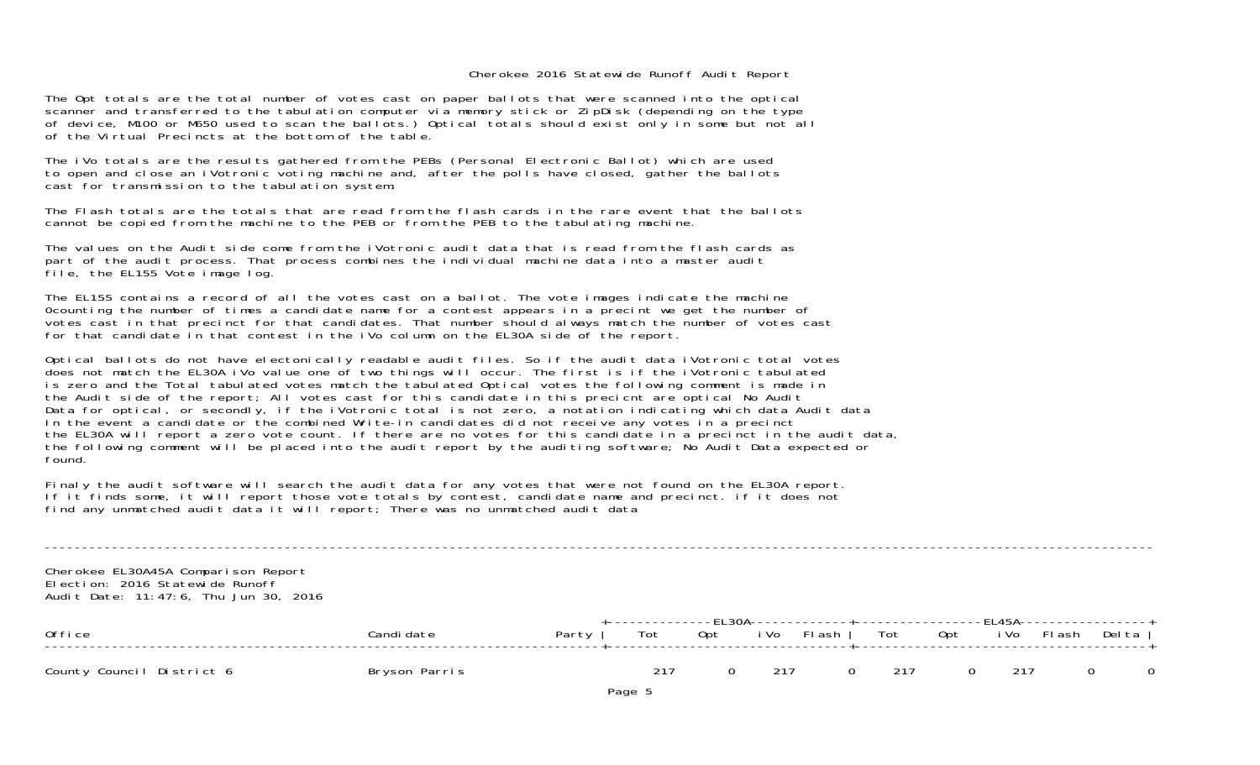The Opt totals are the total number of votes cast on paper ballots that were scanned into the optical scanner and transferred to the tabulation computer via memory stick or ZipDisk (depending on the type of device, M100 or M650 used to scan the ballots.) Optical totals should exist only in some but not all of the Virtual Precincts at the bottom of the table.

The iVo totals are the results gathered from the PEBs (Personal Electronic Ballot) which are used to open and close an iVotronic voting machine and, after the polls have closed, gather the ballots cast for transmission to the tabulation system.

The Flash totals are the totals that are read from the flash cards in the rare event that the ballotscannot be copied from the machine to the PEB or from the PEB to the tabulating machine.

The values on the Audit side come from the iVotronic audit data that is read from the flash cards as part of the audit process. That process combines the individual machine data into a master audit file, the EL155 Vote image log.

The EL155 contains a record of all the votes cast on a ballot. The vote images indicate the machine 0counting the number of times a candidate name for a contest appears in a precint we get the number of votes cast in that precinct for that candidates. That number should always match the number of votes cast for that candidate in that contest in the iVo column on the EL30A side of the report.

Optical ballots do not have electonically readable audit files. So if the audit data iVotronic total votes does not match the EL30A iVo value one of two things will occur. The first is if the iVotronic tabulated is zero and the Total tabulated votes match the tabulated Optical votes the following comment is made in the Audit side of the report; All votes cast for this candidate in this precicnt are optical No Audit Data for optical, or secondly, if the iVotronic total is not zero, a notation indicating which data Audit data In the event a candidate or the combined Write-in candidates did not receive any votes in a precinct the EL30A will report a zero vote count. If there are no votes for this candidate in a precinct in the audit data, the following comment will be placed into the audit report by the auditing software; No Audit Data expected or found.

Finaly the audit software will search the audit data for any votes that were not found on the EL30A report. If it finds some, it will report those vote totals by contest, candidate name and precinct. if it does not find any unmatched audit data it will report; There was no unmatched audit data

Cherokee EL30A45A Comparison Report Election: 2016 Statewide RunoffAudit Date: 11:47:6, Thu Jun 30, 2016

| Office                    | Candi date    | Party | +-------------FL30A-------------+------------------FL45A-------------------+<br>Tot Opt iVo Flash   Tot Opt iVo Flash Delta |     |          |         |     |          |  |
|---------------------------|---------------|-------|-----------------------------------------------------------------------------------------------------------------------------|-----|----------|---------|-----|----------|--|
| County Council District 6 | Bryson Parris |       | 217                                                                                                                         | 217 | $\Omega$ | $= 217$ | 217 | $\Omega$ |  |

----------------------------------------------------------------------------------------------------------------------------------------------------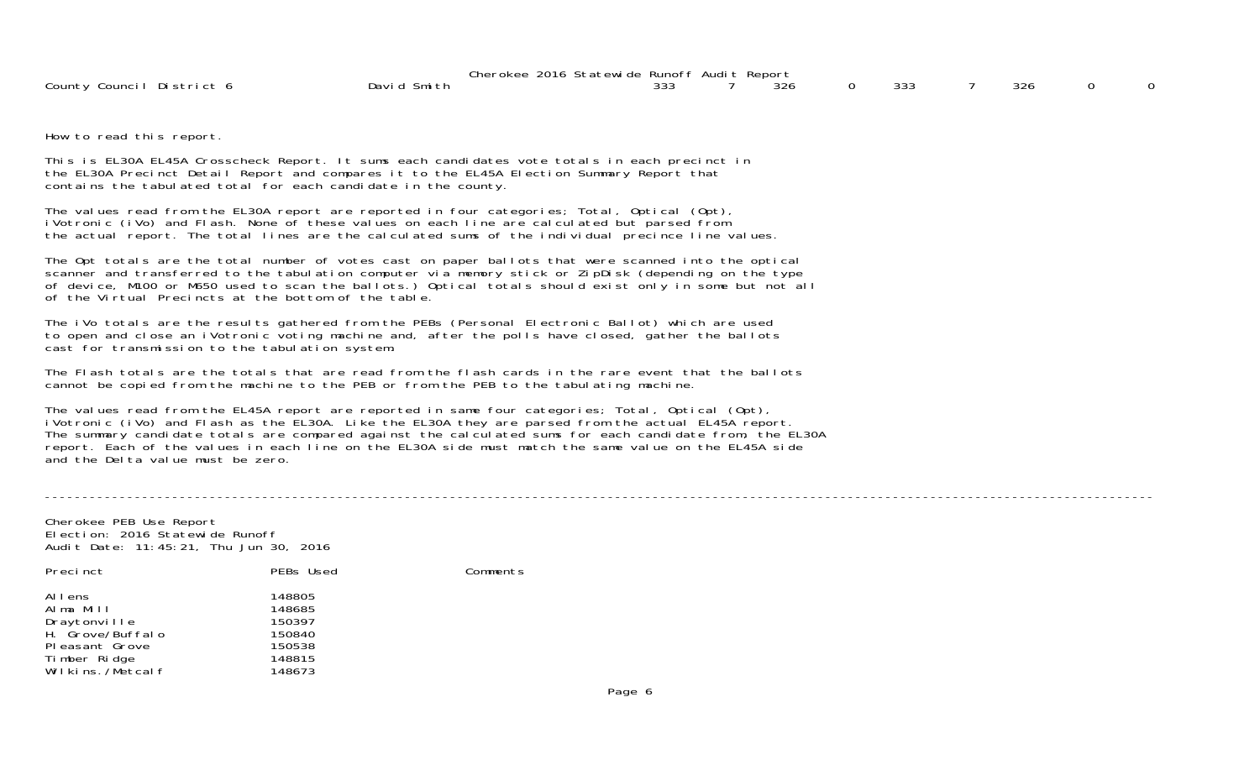|                                | 2016<br>Statewi de<br>Cherokee | e Runoff    | . Audi t | Report |               |     |  |
|--------------------------------|--------------------------------|-------------|----------|--------|---------------|-----|--|
| County<br>Di stri ct<br>Counci | Davi d<br>-Smith               | २२२<br>ູບບປ |          | ∟ە     | $\sim$<br>333 | 326 |  |

How to read this report.

This is EL30A EL45A Crosscheck Report. It sums each candidates vote totals in each precinct in the EL30A Precinct Detail Report and compares it to the EL45A Election Summary Report that contains the tabulated total for each candidate in the county.

The values read from the EL30A report are reported in four categories; Total, Optical (Opt), iVotronic (iVo) and Flash. None of these values on each line are calculated but parsed from the actual report. The total lines are the calculated sums of the individual precince line values.

The Opt totals are the total number of votes cast on paper ballots that were scanned into the optical scanner and transferred to the tabulation computer via memory stick or ZipDisk (depending on the type of device, M100 or M650 used to scan the ballots.) Optical totals should exist only in some but not all of the Virtual Precincts at the bottom of the table.

The iVo totals are the results gathered from the PEBs (Personal Electronic Ballot) which are used to open and close an iVotronic voting machine and, after the polls have closed, gather the ballots cast for transmission to the tabulation system.

The Flash totals are the totals that are read from the flash cards in the rare event that the ballotscannot be copied from the machine to the PEB or from the PEB to the tabulating machine.

The values read from the EL45A report are reported in same four categories; Total, Optical (Opt), iVotronic (iVo) and Flash as the EL30A. Like the EL30A they are parsed from the actual EL45A report. The summary candidate totals are compared against the calculated sums for each candidate from, the EL30A report. Each of the values in each line on the EL30A side must match the same value on the EL45A side and the Delta value must be zero.

----------------------------------------------------------------------------------------------------------------------------------------------------

Cherokee PEB Use Report Election: 2016 Statewide RunoffAudit Date: 11:45:21, Thu Jun 30, 2016

| Precinct         | PEBs Used | Comments |
|------------------|-----------|----------|
| Allens           | 148805    |          |
| Alma Mill        | 148685    |          |
| Draytonville     | 150397    |          |
| H. Grove/Buffalo | 150840    |          |
| Pleasant Grove   | 150538    |          |
| Timber Ridge     | 148815    |          |
| Wilkins,/Metcalf | 148673    |          |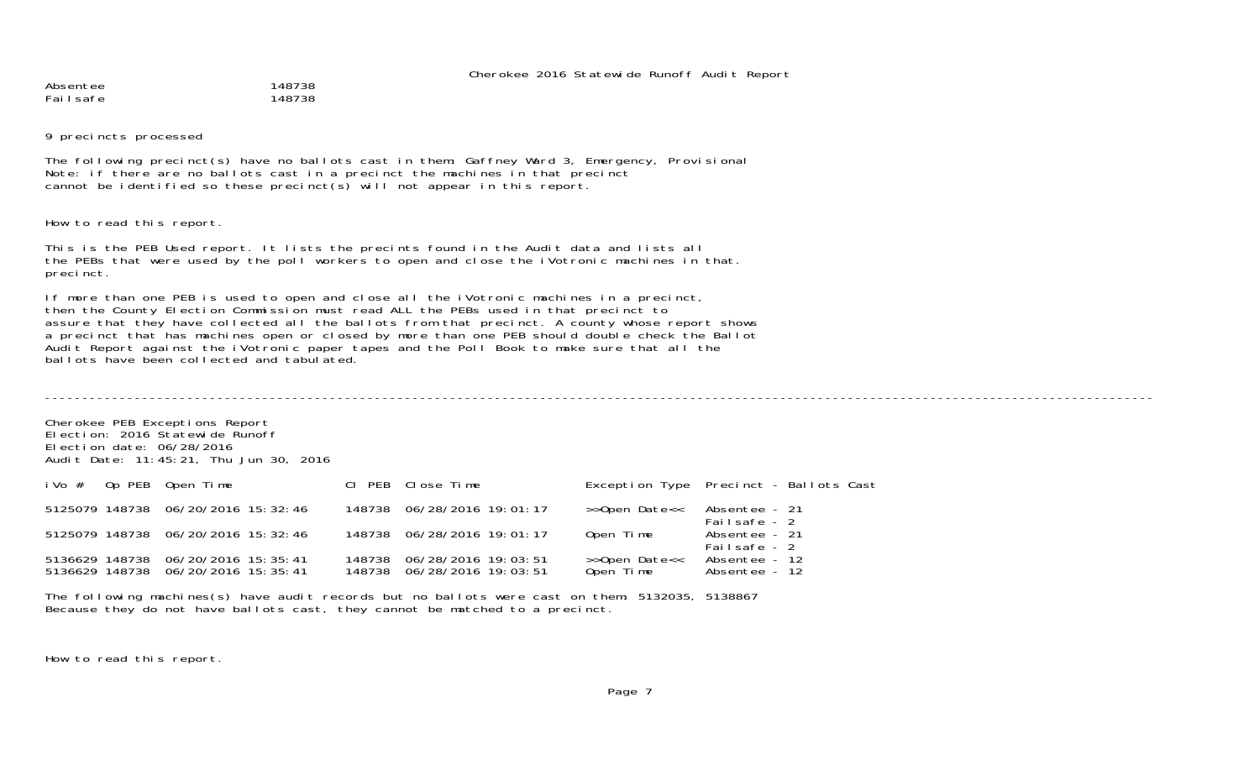Absentee 148738 Failsafe 148738

9 precincts processed

The following precinct(s) have no ballots cast in them: Gaffney Ward 3, Emergency, Provisional Note: if there are no ballots cast in a precinct the machines in that precinct cannot be identified so these precinct(s) will not appear in this report.

How to read this report.

This is the PEB Used report. It lists the precints found in the Audit data and lists all the PEBs that were used by the poll workers to open and close the iVotronic machines in that. precinct.

If more than one PEB is used to open and close all the iVotronic machines in a precinct, then the County Election Commission must read ALL the PEBs used in that precinct to assure that they have collected all the ballots from that precinct. A county whose report shows a precinct that has machines open or closed by more than one PEB should double check the Ballot Audit Report against the iVotronic paper tapes and the Poll Book to make sure that all the ballots have been collected and tabulated.

Cherokee PEB Exceptions Report Election: 2016 Statewide RunoffElection date: 06/28/2016Audit Date: 11:45:21, Thu Jun 30, 2016 iVo # Op PEB Open Time Cl PEB Close Time Exception Type Precinct - Ballots Cast 5125079 148738 06/20/2016 15:32:46 148738 06/28/2016 19:01:17 >>Open Date<< Absentee - 21 Failsafe - 25125079 148738 06/20/2016 15:32:46 148738 06/28/2016 19:01:17 Open Time Absentee - 21 Failsafe - 2Absentee - 12 5136629 148738 06/20/2016 15:35:41 148738 06/28/2016 19:03:51 >>Open Date<< Absentee - 12 5136629 148738 06/20/2016 15:35:41

The following machines(s) have audit records but no ballots were cast on them: 5132035, 5138867 Because they do not have ballots cast, they cannot be matched to a precinct.

How to read this report.